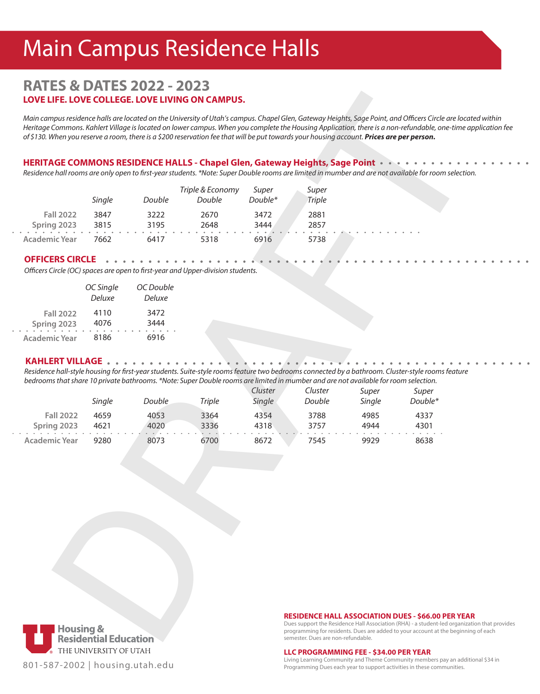# Main Campus Residence Halls

# **RATES & DATES 2022 - 2023 LOVE LIFE. LOVE COLLEGE. LOVE LIVING ON CAMPUS.**

*Main campus residence halls are located on the University of Utah's campus. Chapel Glen, Gateway Heights, Sage Point, and Officers Circle are located within Heritage Commons. Kahlert Village is located on lower campus. When you complete the Housing Application, there is a non-refundable, one-time application fee of \$130. When you reserve a room, there is a \$200 reservation fee that will be put towards your housing account. Prices are per person.*

#### **HERITAGE COMMONS RESIDENCE HALLS - Chapel Glen, Gateway Heights, Sage Point**

|                      | Single | Double | Triple & Economy<br>Double | Super<br>Double* | Super<br>Triple |  |  |  |
|----------------------|--------|--------|----------------------------|------------------|-----------------|--|--|--|
| <b>Fall 2022</b>     | 3847   | 3222   | 2670                       | 3472             | 2881            |  |  |  |
| Spring 2023          | 3815   | 3195   | 2648                       | 3444             | 2857            |  |  |  |
| <b>Academic Year</b> | 7662   | 6417   | 5318                       | 6916             | 5738            |  |  |  |

#### **OFFICERS CIRCLE**

|                  | OC Single<br><b>Deluxe</b> | OC Double<br>Deluxe |  |  |  |
|------------------|----------------------------|---------------------|--|--|--|
| <b>Fall 2022</b> | 4110                       | 3472                |  |  |  |
| Spring 2023      | 4076                       | 3444                |  |  |  |
| Academic Year    | 8186                       | 6916                |  |  |  |

#### **KAHLERT VILLAGE**

| LOVE LIFE. LOVE COLLEGE. LOVE LIVING ON CAMPUS.                                                                                                                                                                                                                                                                                                                                                                                                    |                                                  |              |                            |                   |                                                                                                                                                                                                                                                             |                 |                  |  |
|----------------------------------------------------------------------------------------------------------------------------------------------------------------------------------------------------------------------------------------------------------------------------------------------------------------------------------------------------------------------------------------------------------------------------------------------------|--------------------------------------------------|--------------|----------------------------|-------------------|-------------------------------------------------------------------------------------------------------------------------------------------------------------------------------------------------------------------------------------------------------------|-----------------|------------------|--|
| Main campus residence halls are located on the University of Utah's campus. Chapel Glen, Gateway Heights, Sage Point, and Officers Circle are locat<br>Heritage Commons. Kahlert Village is located on lower campus. When you complete the Housing Application, there is a non-refundable, one-time a<br>of \$130. When you reserve a room, there is a \$200 reservation fee that will be put towards your housing account. Prices are per person. |                                                  |              |                            |                   |                                                                                                                                                                                                                                                             |                 |                  |  |
| HERITAGE COMMONS RESIDENCE HALLS - Chapel Glen, Gateway Heights, Sage Point ·<br>Residence hall rooms are only open to first-year students. *Note: Super Double rooms are limited in mumber and are not available for room selectior                                                                                                                                                                                                               |                                                  |              |                            |                   |                                                                                                                                                                                                                                                             |                 |                  |  |
|                                                                                                                                                                                                                                                                                                                                                                                                                                                    | Single                                           | Double       | Triple & Economy<br>Double | Super<br>Double*  | Super<br><b>Triple</b>                                                                                                                                                                                                                                      |                 |                  |  |
| <b>Fall 2022</b><br>Spring 2023                                                                                                                                                                                                                                                                                                                                                                                                                    | 3847<br>3815                                     | 3222<br>3195 | 2670<br>2648               | 3472<br>3444      | 2881<br>2857                                                                                                                                                                                                                                                |                 |                  |  |
| Academic Year                                                                                                                                                                                                                                                                                                                                                                                                                                      | 7662                                             | 6417         | 5318                       | 6916              | 5738                                                                                                                                                                                                                                                        |                 |                  |  |
| <b>OFFICERS CIRCLE</b><br>Officers Circle (OC) spaces are open to first-year and Upper-division students.                                                                                                                                                                                                                                                                                                                                          | OC Single                                        | OC Double    |                            |                   |                                                                                                                                                                                                                                                             |                 |                  |  |
|                                                                                                                                                                                                                                                                                                                                                                                                                                                    | <b>Deluxe</b>                                    | Deluxe       |                            |                   |                                                                                                                                                                                                                                                             |                 |                  |  |
| <b>Fall 2022</b><br>Spring 2023                                                                                                                                                                                                                                                                                                                                                                                                                    | 4110<br>4076                                     | 3472<br>3444 |                            |                   |                                                                                                                                                                                                                                                             |                 |                  |  |
| <b>Academic Year</b>                                                                                                                                                                                                                                                                                                                                                                                                                               | 8186                                             | 6916         |                            |                   |                                                                                                                                                                                                                                                             |                 |                  |  |
| Residence hall-style housing for first-year students. Suite-style rooms feature two bedrooms connected by a bathroom. Cluster-style rooms feature<br>bedrooms that share 10 private bathrooms. *Note: Super Double rooms are limited in mumber and are not available for room selection.                                                                                                                                                           | Single                                           | Double       | <b>Triple</b>              | Cluster<br>Single | Cluster<br>Double                                                                                                                                                                                                                                           | Super<br>Single | Super<br>Double* |  |
| <b>Fall 2022</b>                                                                                                                                                                                                                                                                                                                                                                                                                                   | 4659                                             | 4053         | 3364                       | 4354              | 3788                                                                                                                                                                                                                                                        | 4985            | 4337             |  |
| Spring 2023                                                                                                                                                                                                                                                                                                                                                                                                                                        | 4621                                             | 4020         | 3336                       | 4318              | 3757                                                                                                                                                                                                                                                        | 4944            | 4301             |  |
| <b>Academic Year</b>                                                                                                                                                                                                                                                                                                                                                                                                                               | 9280                                             | 8073         | 6700                       | 8672              | 7545                                                                                                                                                                                                                                                        | 9929            | 8638             |  |
|                                                                                                                                                                                                                                                                                                                                                                                                                                                    | <b>Confluence Bank</b><br>Confluential Education |              |                            |                   | <b>RESIDENCE HALL ASSOCIATION DUES - \$66.00 PER YEAR</b><br>Dues support the Residence Hall Association (RHA) - a student-led organizat<br>programming for residents. Dues are added to your account at the beginnin<br>semester. Dues are non-refundable. |                 |                  |  |



801-587-2002 | housing.utah.edu

#### **RESIDENCE HALL ASSOCIATION DUES - \$66.00 PER YEAR**

Dues support the Residence Hall Association (RHA) - a student-led organization that provides programming for residents. Dues are added to your account at the beginning of each semester. Dues are non-refundable.

#### **LLC PROGRAMMING FEE - \$34.00 PER YEAR**

Living Learning Community and Theme Community members pay an additional \$34 in Programming Dues each year to support activities in these communities.